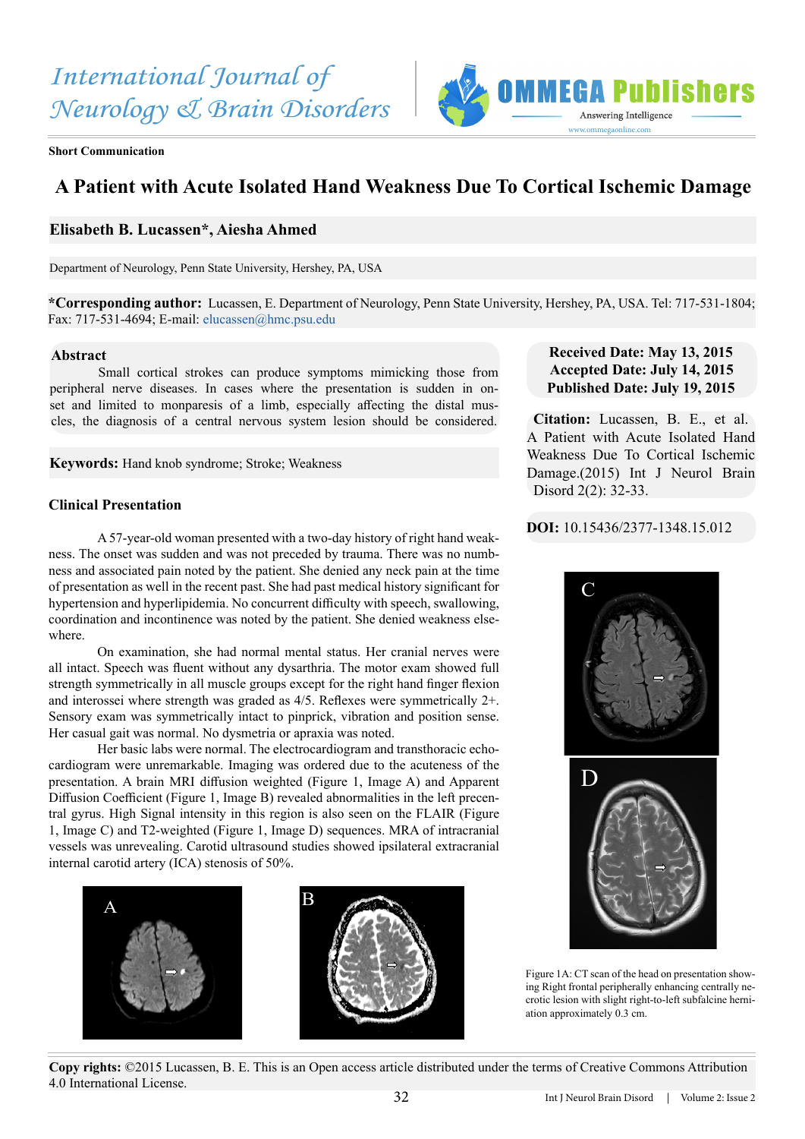

**Short Communication**

# **A Patient with Acute Isolated Hand Weakness Due To Cortical Ischemic Damage**

# **Elisabeth B. Lucassen\*, Aiesha Ahmed**

Department of Neurology, Penn State University, Hershey, PA, USA

**\*Corresponding author:** Lucassen, E. Department of Neurology, Penn State University, Hershey, PA, USA. Tel: 717-531-1804; Fax: 717-531-4694; E-mail: [elucassen@hmc.psu.edu](mailto:elucassen%40hmc.psu.edu?subject=)

#### **Abstract**

Small cortical strokes can produce symptoms mimicking those from peripheral nerve diseases. In cases where the presentation is sudden in onset and limited to monparesis of a limb, especially affecting the distal muscles, the diagnosis of a central nervous system lesion should be considered.

**Keywords:** Hand knob syndrome; Stroke; Weakness

### **Clinical Presentation**

A 57-year-old woman presented with a two-day history of right hand weakness. The onset was sudden and was not preceded by trauma. There was no numbness and associated pain noted by the patient. She denied any neck pain at the time of presentation as well in the recent past. She had past medical history significant for hypertension and hyperlipidemia. No concurrent difficulty with speech, swallowing, coordination and incontinence was noted by the patient. She denied weakness elsewhere.

On examination, she had normal mental status. Her cranial nerves were all intact. Speech was fluent without any dysarthria. The motor exam showed full strength symmetrically in all muscle groups except for the right hand finger flexion and interossei where strength was graded as 4/5. Reflexes were symmetrically 2+. Sensory exam was symmetrically intact to pinprick, vibration and position sense. Her casual gait was normal. No dysmetria or apraxia was noted.

Her basic labs were normal. The electrocardiogram and transthoracic echocardiogram were unremarkable. Imaging was ordered due to the acuteness of the presentation. A brain MRI diffusion weighted (Figure 1, Image A) and Apparent Diffusion Coefficient (Figure 1, Image B) revealed abnormalities in the left precentral gyrus. High Signal intensity in this region is also seen on the FLAIR (Figure 1, Image C) and T2-weighted (Figure 1, Image D) sequences. MRA of intracranial vessels was unrevealing. Carotid ultrasound studies showed ipsilateral extracranial internal carotid artery (ICA) stenosis of 50%.



## **Received Date: May 13, 2015 Accepted Date: July 14, 2015 Published Date: July 19, 2015**

**Citation:** Lucassen, B. E., et al. A Patient with Acute Isolated Hand Weakness Due To Cortical Ischemic Damage.(2015) Int J Neurol Brain Disord 2(2): 32-33.

**DOI:** 10.15436/2377-1348.15.012





Figure 1A: CT scan of the head on presentation showing Right frontal peripherally enhancing centrally necrotic lesion with slight right-to-left subfalcine herniation approximately 0.3 cm.

**Copy rights:** ©2015 Lucassen, B. E. This is an Open access article distributed under the terms of Creative Commons Attribution 4.0 International License.